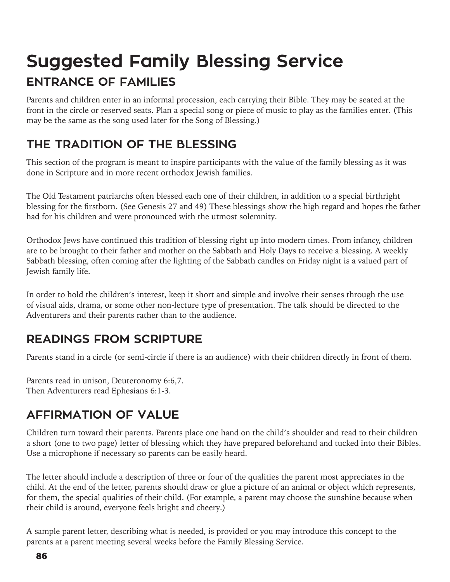# **Suggested Family Blessing Service ENTRANCE OF FAMILIES**

Parents and children enter in an informal procession, each carrying their Bible. They may be seated at the front in the circle or reserved seats. Plan a special song or piece of music to play as the families enter. (This may be the same as the song used later for the Song of Blessing.)

### **THE TRADITION OF THE BLESSING**

This section of the program is meant to inspire participants with the value of the family blessing as it was done in Scripture and in more recent orthodox Jewish families.

The Old Testament patriarchs often blessed each one of their children, in addition to a special birthright blessing for the firstborn. (See Genesis 27 and 49) These blessings show the high regard and hopes the father had for his children and were pronounced with the utmost solemnity.

Orthodox Jews have continued this tradition of blessing right up into modern times. From infancy, children are to be brought to their father and mother on the Sabbath and Holy Days to receive a blessing. A weekly Sabbath blessing, often coming after the lighting of the Sabbath candles on Friday night is a valued part of Jewish family life.

In order to hold the children's interest, keep it short and simple and involve their senses through the use of visual aids, drama, or some other non-lecture type of presentation. The talk should be directed to the Adventurers and their parents rather than to the audience.

### **READINGS FROM SCRIPTURE**

Parents stand in a circle (or semi-circle if there is an audience) with their children directly in front of them.

Parents read in unison, Deuteronomy 6:6,7. Then Adventurers read Ephesians 6:1-3.

### **AFFIRMATION OF VALUE**

Children turn toward their parents. Parents place one hand on the child's shoulder and read to their children a short (one to two page) letter of blessing which they have prepared beforehand and tucked into their Bibles. Use a microphone if necessary so parents can be easily heard.

The letter should include a description of three or four of the qualities the parent most appreciates in the child. At the end of the letter, parents should draw or glue a picture of an animal or object which represents, for them, the special qualities of their child. (For example, a parent may choose the sunshine because when their child is around, everyone feels bright and cheery.)

A sample parent letter, describing what is needed, is provided or you may introduce this concept to the parents at a parent meeting several weeks before the Family Blessing Service.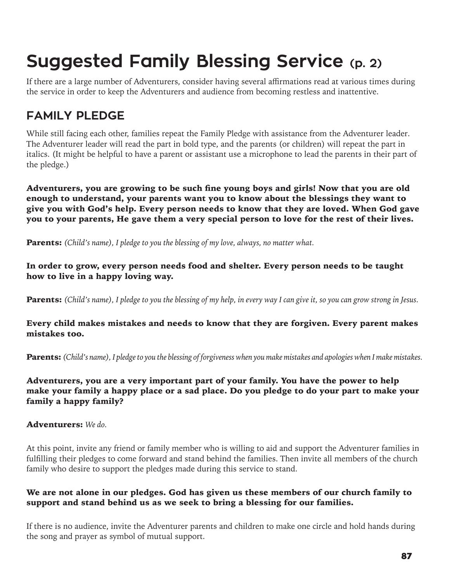# **Suggested Family Blessing Service (p. 2)**

If there are a large number of Adventurers, consider having several affirmations read at various times during the service in order to keep the Adventurers and audience from becoming restless and inattentive.

#### **FAMILY PLEDGE**

While still facing each other, families repeat the Family Pledge with assistance from the Adventurer leader. The Adventurer leader will read the part in bold type, and the parents (or children) will repeat the part in italics. (It might be helpful to have a parent or assistant use a microphone to lead the parents in their part of the pledge.)

Adventurers, you are growing to be such fine young boys and girls! Now that you are old enough to understand, your parents want you to know about the blessings they want to give you with God's help. Every person needs to know that they are loved. When God gave you to your parents, He gave them a very special person to love for the rest of their lives.

Parents: *(Child's name), I pledge to you the blessing of my love, always, no matter what.* 

In order to grow, every person needs food and shelter. Every person needs to be taught how to live in a happy loving way.

Parents: *(Child's name), I pledge to you the blessing of my help, in every way I can give it, so you can grow strong in Jesus.* 

Every child makes mistakes and needs to know that they are forgiven. Every parent makes mistakes too.

Parents: *(Child's name), I pledge to you the blessing of forgiveness when you make mistakes and apologies when I make mistakes.*

Adventurers, you are a very important part of your family. You have the power to help make your family a happy place or a sad place. Do you pledge to do your part to make your family a happy family?

Adventurers: *We do.* 

At this point, invite any friend or family member who is willing to aid and support the Adventurer families in fulfilling their pledges to come forward and stand behind the families. Then invite all members of the church family who desire to support the pledges made during this service to stand.

#### We are not alone in our pledges. God has given us these members of our church family to support and stand behind us as we seek to bring a blessing for our families.

If there is no audience, invite the Adventurer parents and children to make one circle and hold hands during the song and prayer as symbol of mutual support.